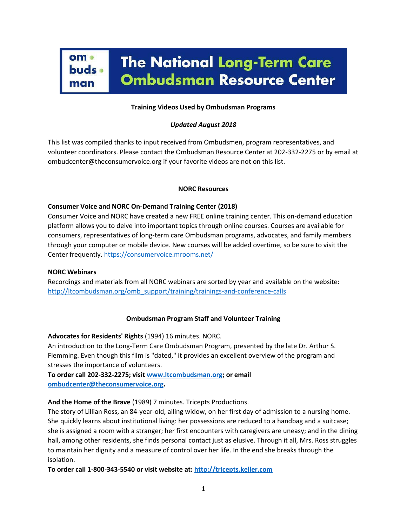

### **Training Videos Used by Ombudsman Programs**

## *Updated August 2018*

This list was compiled thanks to input received from Ombudsmen, program representatives, and volunteer coordinators. Please contact the Ombudsman Resource Center at 202-332-2275 or by email at ombudcenter@theconsumervoice.org if your favorite videos are not on this list.

#### **NORC Resources**

### **Consumer Voice and NORC On-Demand Training Center (2018)**

Consumer Voice and NORC have created a new FREE online training center. This on-demand education platform allows you to delve into important topics through online courses. Courses are available for consumers, representatives of long-term care Ombudsman programs, advocates, and family members through your computer or mobile device. New courses will be added overtime, so be sure to visit the Center frequently[. https://consumervoice.mrooms.net/](https://consumervoice.mrooms.net/)

### **NORC Webinars**

Recordings and materials from all NORC webinars are sorted by year and available on the website: [http://ltcombudsman.org/omb\\_support/training/trainings-and-conference-calls](http://ltcombudsman.org/omb_support/training/trainings-and-conference-calls)

### **Ombudsman Program Staff and Volunteer Training**

**Advocates for Residents' Rights** (1994) 16 minutes. NORC.

An introduction to the Long-Term Care Ombudsman Program, presented by the late Dr. Arthur S. Flemming. Even though this film is "dated," it provides an excellent overview of the program and stresses the importance of volunteers.

**To order call 202-332-2275; visi[t www.ltcombudsman.org;](file:///C:/Users/Katie/Desktop/Katie/NORC/NORC%20Website/Support/Training/Adult%20Training%20Techniques%20and%20Documents%20Related%20to%20Training/www.ltcombudsman.org) or email [ombudcenter@theconsumervoice.org.](mailto:ombudcenter@theconsumervoice.org)**

**And the Home of the Brave** (1989) 7 minutes. Tricepts Productions.

The story of Lillian Ross, an 84-year-old, ailing widow, on her first day of admission to a nursing home. She quickly learns about institutional living: her possessions are reduced to a handbag and a suitcase; she is assigned a room with a stranger; her first encounters with caregivers are uneasy; and in the dining hall, among other residents, she finds personal contact just as elusive. Through it all, Mrs. Ross struggles to maintain her dignity and a measure of control over her life. In the end she breaks through the isolation.

**To order call 1-800-343-5540 or visit website at: [http://tricepts.keller.com](http://tricepts.keller.com/)**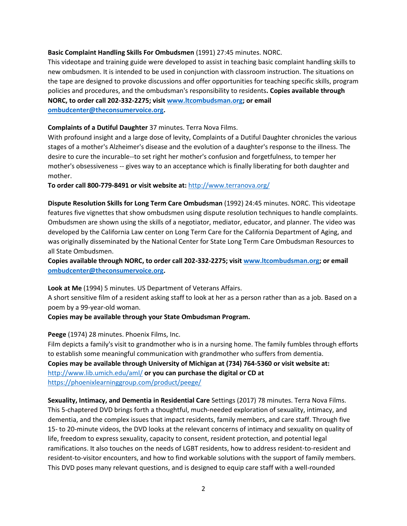### **Basic Complaint Handling Skills For Ombudsmen** (1991) 27:45 minutes. NORC.

This videotape and training guide were developed to assist in teaching basic complaint handling skills to new ombudsmen. It is intended to be used in conjunction with classroom instruction. The situations on the tape are designed to provoke discussions and offer opportunities for teaching specific skills, program policies and procedures, and the ombudsman's responsibility to residents**. Copies available through NORC, to order call 202-332-2275; visit [www.ltcombudsman.org;](http://www.ltcombudsman.org/) or email [ombudcenter@theconsumervoice.org.](mailto:ombudcenter@theconsumervoice.org)**

### **Complaints of a Dutiful Daughter** 37 minutes. Terra Nova Films.

With profound insight and a large dose of levity, Complaints of a Dutiful Daughter chronicles the various stages of a mother's Alzheimer's disease and the evolution of a daughter's response to the illness. The desire to cure the incurable--to set right her mother's confusion and forgetfulness, to temper her mother's obsessiveness -- gives way to an acceptance which is finally liberating for both daughter and mother.

**To order call 800-779-8491 or visit website at:** <http://www.terranova.org/>

**Dispute Resolution Skills for Long Term Care Ombudsman** (1992) 24:45 minutes. NORC. This videotape features five vignettes that show ombudsmen using dispute resolution techniques to handle complaints. Ombudsmen are shown using the skills of a negotiator, mediator, educator, and planner. The video was developed by the California Law center on Long Term Care for the California Department of Aging, and was originally disseminated by the National Center for State Long Term Care Ombudsman Resources to all State Ombudsmen.

**Copies available through NORC, to order call 202-332-2275; visi[t www.ltcombudsman.org;](http://www.ltcombudsman.org/) or email [ombudcenter@theconsumervoice.org.](mailto:ombudcenter@theconsumervoice.org)**

**Look at Me** (1994) 5 minutes. US Department of Veterans Affairs.

A short sensitive film of a resident asking staff to look at her as a person rather than as a job. Based on a poem by a 99-year-old woman.

#### **Copies may be available through your State Ombudsman Program.**

#### **Peege** (1974) 28 minutes. Phoenix Films, Inc.

Film depicts a family's visit to grandmother who is in a nursing home. The family fumbles through efforts to establish some meaningful communication with grandmother who suffers from dementia. **Copies may be available through University of Michigan at (734) 764-5360 or visit website at:**  <http://www.lib.umich.edu/aml/> **or you can purchase the digital or CD at**  <https://phoenixlearninggroup.com/product/peege/>

**Sexuality, Intimacy, and Dementia in Residential Care** Settings (2017) 78 minutes. Terra Nova Films. This 5-chaptered DVD brings forth a thoughtful, much-needed exploration of sexuality, intimacy, and dementia, and the complex issues that impact residents, family members, and care staff. Through five 15- to 20-minute videos, the DVD looks at the relevant concerns of intimacy and sexuality on quality of life, freedom to express sexuality, capacity to consent, resident protection, and potential legal ramifications. It also touches on the needs of LGBT residents, how to address resident-to-resident and resident-to-visitor encounters, and how to find workable solutions with the support of family members. This DVD poses many relevant questions, and is designed to equip care staff with a well-rounded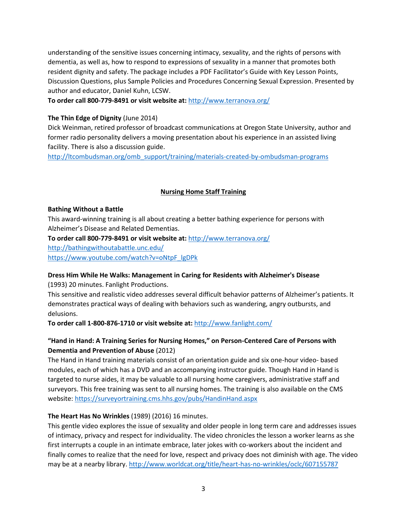understanding of the sensitive issues concerning intimacy, sexuality, and the rights of persons with dementia, as well as, how to respond to expressions of sexuality in a manner that promotes both resident dignity and safety. The package includes a PDF Facilitator's Guide with Key Lesson Points, Discussion Questions, plus Sample Policies and Procedures Concerning Sexual Expression. Presented by author and educator, Daniel Kuhn, LCSW.

**To order call 800-779-8491 or visit website at:** <http://www.terranova.org/>

## **The Thin Edge of Dignity** (June 2014)

Dick Weinman, retired professor of broadcast communications at Oregon State University, author and former radio personality delivers a moving presentation about his experience in an assisted living facility. There is also a discussion guide.

[http://ltcombudsman.org/omb\\_support/training/materials-created-by-ombudsman-programs](http://ltcombudsman.org/omb_support/training/materials-created-by-ombudsman-programs)

## **Nursing Home Staff Training**

### **Bathing Without a Battle**

This award-winning training is all about creating a better bathing experience for persons with Alzheimer's Disease and Related Dementias.

**To order call 800-779-8491 or visit website at:** <http://www.terranova.org/> <http://bathingwithoutabattle.unc.edu/>

[https://www.youtube.com/watch?v=oNtpF\\_lgDPk](https://www.youtube.com/watch?v=oNtpF_lgDPk)

# **Dress Him While He Walks: Management in Caring for Residents with Alzheimer's Disease**

(1993) 20 minutes. Fanlight Productions.

This sensitive and realistic video addresses several difficult behavior patterns of Alzheimer's patients. It demonstrates practical ways of dealing with behaviors such as wandering, angry outbursts, and delusions.

**To order call 1-800-876-1710 or visit website at:** <http://www.fanlight.com/>

# **"Hand in Hand: A Training Series for Nursing Homes," on Person-Centered Care of Persons with Dementia and Prevention of Abuse** (2012)

The Hand in Hand training materials consist of an orientation guide and six one-hour video- based modules, each of which has a DVD and an accompanying instructor guide. Though Hand in Hand is targeted to nurse aides, it may be valuable to all nursing home caregivers, administrative staff and surveyors. This free training was sent to all nursing homes. The training is also available on the CMS website[: https://surveyortraining.cms.hhs.gov/pubs/HandinHand.aspx](https://surveyortraining.cms.hhs.gov/pubs/HandinHand.aspx)

# **The Heart Has No Wrinkles** (1989) (2016) 16 minutes.

This gentle video explores the issue of sexuality and older people in long term care and addresses issues of intimacy, privacy and respect for individuality. The video chronicles the lesson a worker learns as she first interrupts a couple in an intimate embrace, later jokes with co-workers about the incident and finally comes to realize that the need for love, respect and privacy does not diminish with age. The video may be at a nearby library.<http://www.worldcat.org/title/heart-has-no-wrinkles/oclc/607155787>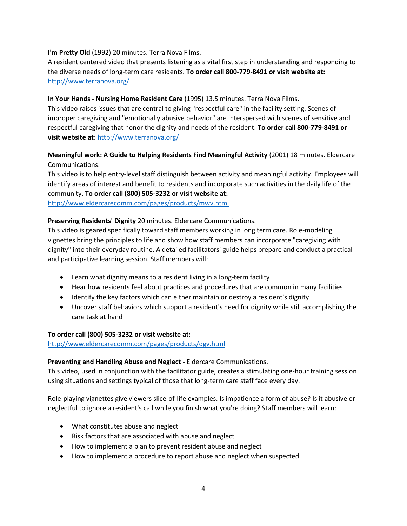### **I'm Pretty Old** (1992) 20 minutes. Terra Nova Films.

A resident centered video that presents listening as a vital first step in understanding and responding to the diverse needs of long-term care residents. **To order call 800-779-8491 or visit website at:**  <http://www.terranova.org/>

## **In Your Hands - Nursing Home Resident Care** (1995) 13.5 minutes. Terra Nova Films.

This video raises issues that are central to giving "respectful care" in the facility setting. Scenes of improper caregiving and "emotionally abusive behavior" are interspersed with scenes of sensitive and respectful caregiving that honor the dignity and needs of the resident. **To order call 800-779-8491 or visit website at**[: http://www.terranova.org/](http://www.terranova.org/)

# **Meaningful work: A Guide to Helping Residents Find Meaningful Activity** (2001) 18 minutes. Eldercare Communications.

This video is to help entry-level staff distinguish between activity and meaningful activity. Employees will identify areas of interest and benefit to residents and incorporate such activities in the daily life of the community. **To order call (800) 505-3232 or visit website at:**

<http://www.eldercarecomm.com/pages/products/mwv.html>

# **Preserving Residents' Dignity** 20 minutes. Eldercare Communications.

This video is geared specifically toward staff members working in long term care. Role-modeling vignettes bring the principles to life and show how staff members can incorporate "caregiving with dignity" into their everyday routine. A detailed facilitators' guide helps prepare and conduct a practical and participative learning session. Staff members will:

- Learn what dignity means to a resident living in a long-term facility
- Hear how residents feel about practices and procedures that are common in many facilities
- Identify the key factors which can either maintain or destroy a resident's dignity
- Uncover staff behaviors which support a resident's need for dignity while still accomplishing the care task at hand

### **To order call (800) 505-3232 or visit website at:**

<http://www.eldercarecomm.com/pages/products/dgv.html>

### **Preventing and Handling Abuse and Neglect -** Eldercare Communications.

This video, used in conjunction with the facilitator guide, creates a stimulating one-hour training session using situations and settings typical of those that long-term care staff face every day.

Role-playing vignettes give viewers slice-of-life examples. Is impatience a form of abuse? Is it abusive or neglectful to ignore a resident's call while you finish what you're doing? Staff members will learn:

- What constitutes abuse and neglect
- Risk factors that are associated with abuse and neglect
- How to implement a plan to prevent resident abuse and neglect
- How to implement a procedure to report abuse and neglect when suspected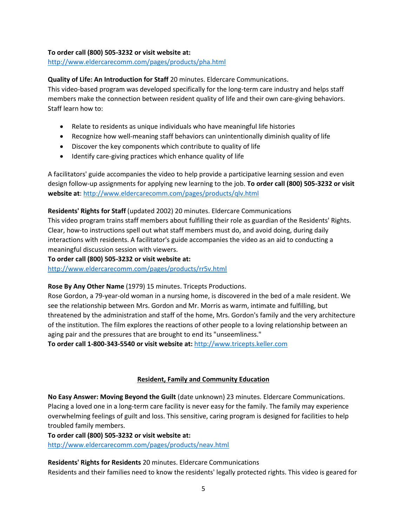### **To order call (800) 505-3232 or visit website at:**

<http://www.eldercarecomm.com/pages/products/pha.html>

## **Quality of Life: An Introduction for Staff** 20 minutes. Eldercare Communications.

This video-based program was developed specifically for the long-term care industry and helps staff members make the connection between resident quality of life and their own care-giving behaviors. Staff learn how to:

- Relate to residents as unique individuals who have meaningful life histories
- Recognize how well-meaning staff behaviors can unintentionally diminish quality of life
- Discover the key components which contribute to quality of life
- Identify care-giving practices which enhance quality of life

A facilitators' guide accompanies the video to help provide a participative learning session and even design follow-up assignments for applying new learning to the job. **To order call (800) 505-3232 or visit website at**: <http://www.eldercarecomm.com/pages/products/qlv.html>

**Residents' Rights for Staff** (updated 2002) 20 minutes. Eldercare Communications This video program trains staff members about fulfilling their role as guardian of the Residents' Rights. Clear, how-to instructions spell out what staff members must do, and avoid doing, during daily interactions with residents. A facilitator's guide accompanies the video as an aid to conducting a meaningful discussion session with viewers.

**To order call (800) 505-3232 or visit website at:** <http://www.eldercarecomm.com/pages/products/rr5v.html>

### **Rose By Any Other Name** (1979) 15 minutes. Tricepts Productions.

Rose Gordon, a 79-year-old woman in a nursing home, is discovered in the bed of a male resident. We see the relationship between Mrs. Gordon and Mr. Morris as warm, intimate and fulfilling, but threatened by the administration and staff of the home, Mrs. Gordon's family and the very architecture of the institution. The film explores the reactions of other people to a loving relationship between an aging pair and the pressures that are brought to end its "unseemliness."

**To order call 1-800-343-5540 or visit website at:** [http://www.tricepts.keller.com](http://www.tricepts.keller.com/)

### **Resident, Family and Community Education**

**No Easy Answer: Moving Beyond the Guilt** (date unknown) 23 minutes. Eldercare Communications. Placing a loved one in a long-term care facility is never easy for the family. The family may experience overwhelming feelings of guilt and loss. This sensitive, caring program is designed for facilities to help troubled family members.

**To order call (800) 505-3232 or visit website at:**

<http://www.eldercarecomm.com/pages/products/neav.html>

**Residents' Rights for Residents** 20 minutes. Eldercare Communications Residents and their families need to know the residents' legally protected rights. This video is geared for